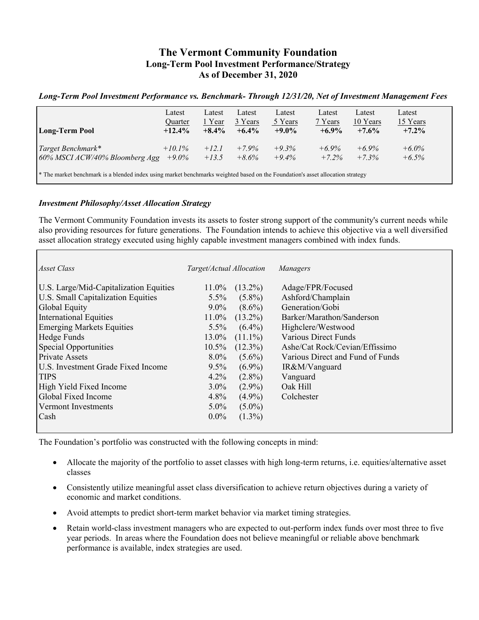# **The Vermont Community Foundation Long-Term Pool Investment Performance/Strategy As of December 31, 2020**

### *Long-Term Pool Investment Performance vs. Benchmark- Through 12/31/20, Net of Investment Management Fees*

| <b>Long-Term Pool</b>                                                                                                                     | Latest<br>Quarter<br>$+12.4%$ | Latest<br>1 Year<br>$+8.4\%$ | Latest<br>3 Years<br>$+6.4\%$ | Latest<br>5 Years<br>$+9.0\%$ | Latest<br>7 Years<br>$+6.9\%$ | Latest<br>10 Years<br>$+7.6%$ | Latest<br>15 Years<br>$+7.2%$ |  |
|-------------------------------------------------------------------------------------------------------------------------------------------|-------------------------------|------------------------------|-------------------------------|-------------------------------|-------------------------------|-------------------------------|-------------------------------|--|
| Target Benchmark*<br>60% MSCI ACW/40% Bloomberg Agg                                                                                       | $+10.1\%$<br>$+9.0\%$         | $+12.1$<br>$+13.5$           | $+7.9\%$<br>$+8.6\%$          | $+9.3%$<br>$+9.4\%$           | $+6.9\%$<br>$+7.2\%$          | $+6.9\%$<br>$+7.3%$           | $+6.0\%$<br>$+6.5\%$          |  |
| <sup>*</sup> The market benchmark is a blended index using market benchmarks weighted based on the Foundation's asset allocation strategy |                               |                              |                               |                               |                               |                               |                               |  |

### *Investment Philosophy/Asset Allocation Strategy*

The Vermont Community Foundation invests its assets to foster strong support of the community's current needs while also providing resources for future generations. The Foundation intends to achieve this objective via a well diversified asset allocation strategy executed using highly capable investment managers combined with index funds.

| Asset Class                               | Target/Actual Allocation |            | Managers                         |
|-------------------------------------------|--------------------------|------------|----------------------------------|
| U.S. Large/Mid-Capitalization Equities    | $11.0\%$                 | $(13.2\%)$ | Adage/FPR/Focused                |
| <b>U.S. Small Capitalization Equities</b> | $5.5\%$                  | $(5.8\%)$  | Ashford/Champlain                |
| Global Equity                             | $9.0\%$                  | $(8.6\%)$  | Generation/Gobi                  |
| <b>International Equities</b>             | 11.0%                    | $(13.2\%)$ | Barker/Marathon/Sanderson        |
| <b>Emerging Markets Equities</b>          | $5.5\%$                  | $(6.4\%)$  | Highclere/Westwood               |
| Hedge Funds                               | 13.0%                    | $(11.1\%)$ | <b>Various Direct Funds</b>      |
| Special Opportunities                     | $10.5\%$                 | $(12.3\%)$ | Ashe/Cat Rock/Cevian/Effissimo   |
| <b>Private Assets</b>                     | $8.0\%$                  | $(5.6\%)$  | Various Direct and Fund of Funds |
| U.S. Investment Grade Fixed Income        | $9.5\%$                  | $(6.9\%)$  | IR&M/Vanguard                    |
| <b>TIPS</b>                               | 4.2%                     | $(2.8\%)$  | Vanguard                         |
| High Yield Fixed Income                   | $3.0\%$                  | $(2.9\%)$  | Oak Hill                         |
| Global Fixed Income                       | $4.8\%$                  | $(4.9\%)$  | Colchester                       |
| Vermont Investments                       | $5.0\%$                  | $(5.0\%)$  |                                  |
| Cash                                      | $0.0\%$                  | $(1.3\%)$  |                                  |
|                                           |                          |            |                                  |

The Foundation's portfolio was constructed with the following concepts in mind:

- Allocate the majority of the portfolio to asset classes with high long-term returns, i.e. equities/alternative asset classes
- Consistently utilize meaningful asset class diversification to achieve return objectives during a variety of economic and market conditions.
- Avoid attempts to predict short-term market behavior via market timing strategies.
- Retain world-class investment managers who are expected to out-perform index funds over most three to five year periods. In areas where the Foundation does not believe meaningful or reliable above benchmark performance is available, index strategies are used.